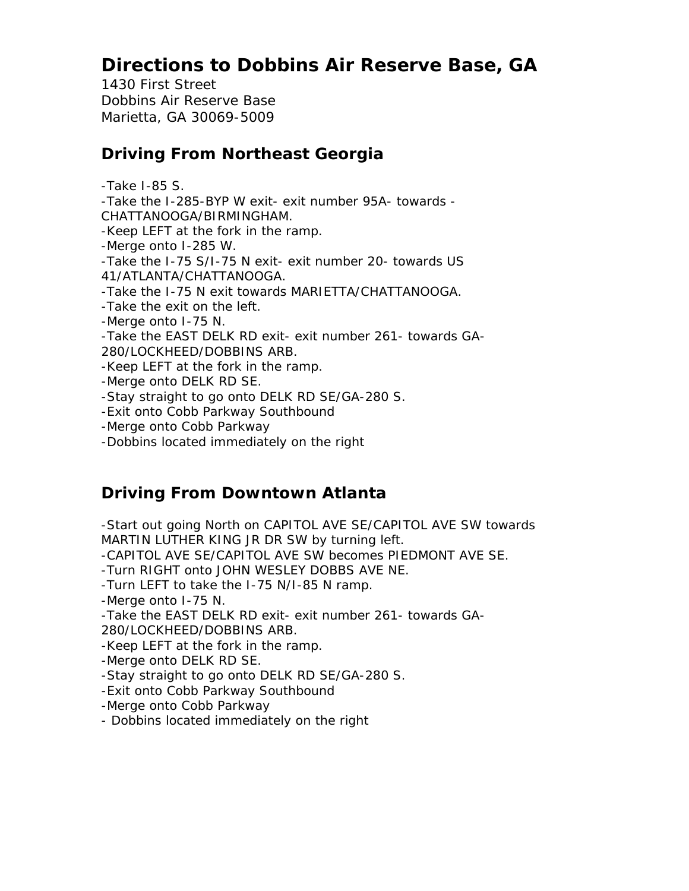# **Directions to Dobbins Air Reserve Base, GA**

1430 First Street Dobbins Air Reserve Base Marietta, GA 30069-5009

### **Driving From Northeast Georgia**

-Take I-85 S. -Take the I-285-BYP W exit- exit number 95A- towards - CHATTANOOGA/BIRMINGHAM. -Keep LEFT at the fork in the ramp. -Merge onto I-285 W. -Take the I-75 S/I-75 N exit- exit number 20- towards US 41/ATLANTA/CHATTANOOGA. -Take the I-75 N exit towards MARIETTA/CHATTANOOGA. -Take the exit on the left. -Merge onto I-75 N. -Take the EAST DELK RD exit- exit number 261- towards GA-280/LOCKHEED/DOBBINS ARB. -Keep LEFT at the fork in the ramp. -Merge onto DELK RD SE. -Stay straight to go onto DELK RD SE/GA-280 S. -Exit onto Cobb Parkway Southbound -Merge onto Cobb Parkway -Dobbins located immediately on the right

## **Driving From Downtown Atlanta**

-Start out going North on CAPITOL AVE SE/CAPITOL AVE SW towards MARTIN LUTHER KING JR DR SW by turning left.

-CAPITOL AVE SE/CAPITOL AVE SW becomes PIEDMONT AVE SE.

-Turn RIGHT onto JOHN WESLEY DOBBS AVE NE.

-Turn LEFT to take the I-75 N/I-85 N ramp.

-Merge onto I-75 N.

-Take the EAST DELK RD exit- exit number 261- towards GA-280/LOCKHEED/DOBBINS ARB.

-Keep LEFT at the fork in the ramp.

-Merge onto DELK RD SE.

-Stay straight to go onto DELK RD SE/GA-280 S.

-Exit onto Cobb Parkway Southbound

-Merge onto Cobb Parkway

- Dobbins located immediately on the right